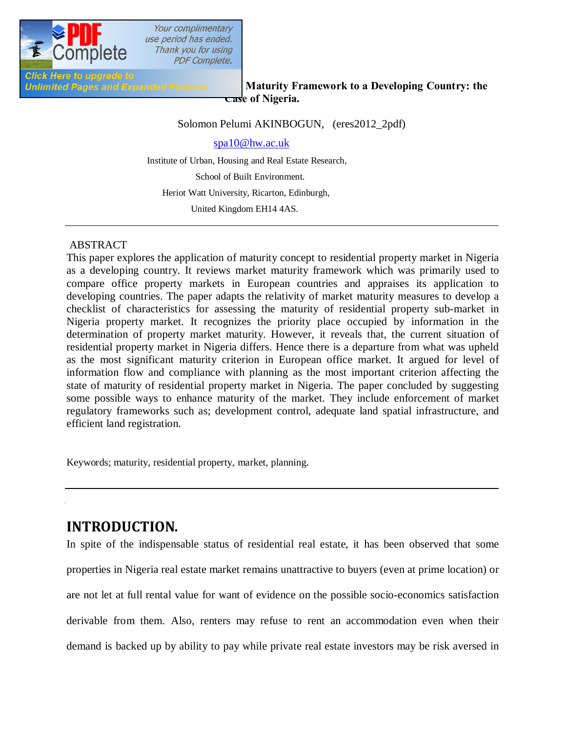

**Click Here to upgrade to** 

### *Unlimited Pages and Expanded Features* **Maturity Framework to a Developing Country: the Case of Nigeria.**

Solomon Pelumi AKINBOGUN, (eres2012\_2pdf)

spa10@hw.ac.uk

 Institute of Urban, Housing and Real Estate Research, School of Built Environment. Heriot Watt University, Ricarton, Edinburgh, United Kingdom EH14 4AS.

### ABSTRACT

This paper explores the application of maturity concept to residential property market in Nigeria as a developing country. It reviews market maturity framework which was primarily used to compare office property markets in European countries and appraises its application to developing countries. The paper adapts the relativity of market maturity measures to develop a checklist of characteristics for assessing the maturity of residential property sub-market in Nigeria property market. It recognizes the priority place occupied by information in the determination of property market maturity. However, it reveals that, the current situation of residential property market in Nigeria differs. Hence there is a departure from what was upheld as the most significant maturity criterion in European office market. It argued for level of information flow and compliance with planning as the most important criterion affecting the state of maturity of residential property market in Nigeria. The paper concluded by suggesting some possible ways to enhance maturity of the market. They include enforcement of market regulatory frameworks such as; development control, adequate land spatial infrastructure, and efficient land registration.

Keywords; maturity, residential property, market, planning.

# **INTRODUCTION.**

In spite of the indispensable status of residential real estate, it has been observed that some properties in Nigeria real estate market remains unattractive to buyers (even at prime location) or are not let at full rental value for want of evidence on the possible socio-economics satisfaction derivable from them. Also, renters may refuse to rent an accommodation even when their demand is backed up by ability to pay while private real estate investors may be risk aversed in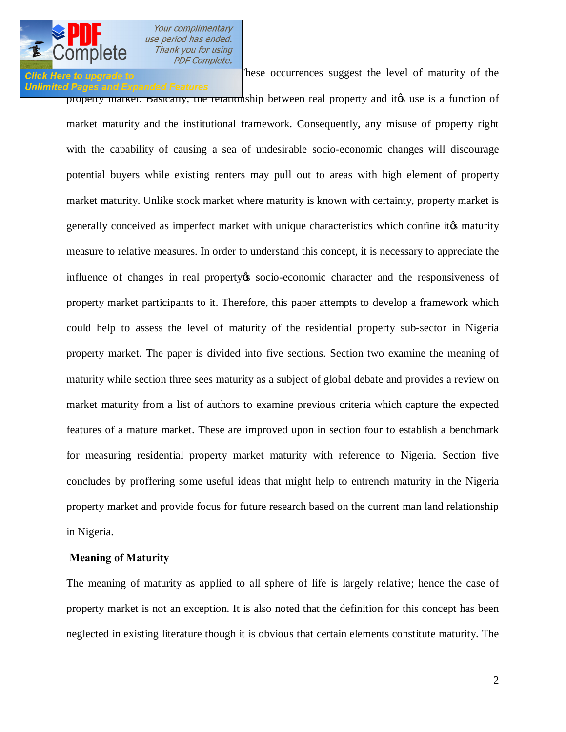### **Unlimited Pages and Expanded Features**

**Click Here to upgrade to Example 10 Click Here to upgrade to Click Here to upgrade to** 

property market. Basically, the relationship between real property and it the use is a function of market maturity and the institutional framework. Consequently, any misuse of property right with the capability of causing a sea of undesirable socio-economic changes will discourage potential buyers while existing renters may pull out to areas with high element of property market maturity. Unlike stock market where maturity is known with certainty, property market is generally conceived as imperfect market with unique characteristics which confine it to maturity measure to relative measures. In order to understand this concept, it is necessary to appreciate the influence of changes in real property to socio-economic character and the responsiveness of property market participants to it. Therefore, this paper attempts to develop a framework which could help to assess the level of maturity of the residential property sub-sector in Nigeria property market. The paper is divided into five sections. Section two examine the meaning of maturity while section three sees maturity as a subject of global debate and provides a review on market maturity from a list of authors to examine previous criteria which capture the expected features of a mature market. These are improved upon in section four to establish a benchmark for measuring residential property market maturity with reference to Nigeria. Section five concludes by proffering some useful ideas that might help to entrench maturity in the Nigeria property market and provide focus for future research based on the current man land relationship in Nigeria.

#### **Meaning of Maturity**

The meaning of maturity as applied to all sphere of life is largely relative; hence the case of property market is not an exception. It is also noted that the definition for this concept has been neglected in existing literature though it is obvious that certain elements constitute maturity. The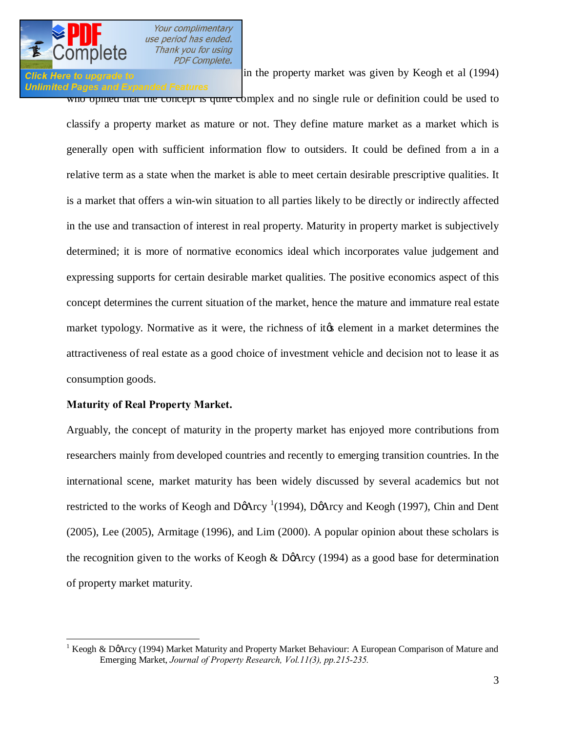## **Unlimited Pages and Expanded Features**

**Click Here to upgrade to concept in the property market was given by Keogh et al (1994)** 

who opined that the concept is quite complex and no single rule or definition could be used to classify a property market as mature or not. They define mature market as a market which is generally open with sufficient information flow to outsiders. It could be defined from a in a relative term as a state when the market is able to meet certain desirable prescriptive qualities. It is a market that offers a win-win situation to all parties likely to be directly or indirectly affected in the use and transaction of interest in real property. Maturity in property market is subjectively determined; it is more of normative economics ideal which incorporates value judgement and expressing supports for certain desirable market qualities. The positive economics aspect of this concept determines the current situation of the market, hence the mature and immature real estate market typology. Normative as it were, the richness of it the element in a market determines the attractiveness of real estate as a good choice of investment vehicle and decision not to lease it as consumption goods.

### **Maturity of Real Property Market.**

Arguably, the concept of maturity in the property market has enjoyed more contributions from researchers mainly from developed countries and recently to emerging transition countries. In the international scene, market maturity has been widely discussed by several academics but not restricted to the works of Keogh and DøArcy  $(1994)$ , DøArcy and Keogh (1997), Chin and Dent (2005), Lee (2005), Armitage (1996), and Lim (2000). A popular opinion about these scholars is the recognition given to the works of Keogh & DøArcy (1994) as a good base for determination of property market maturity.

<sup>&</sup>lt;sup>1</sup> Keogh & DøArcy (1994) Market Maturity and Property Market Behaviour: A European Comparison of Mature and Emerging Market, *Journal of Property Research, Vol.11(3), pp.215-235.*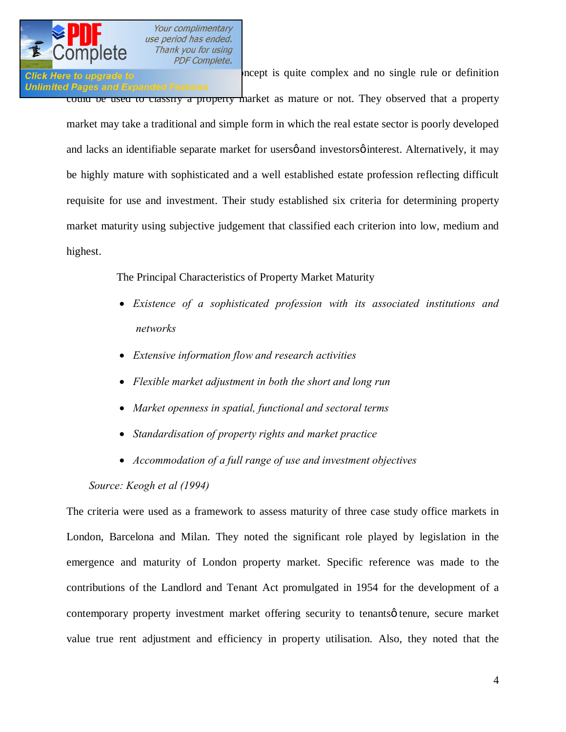

### **Click Here to upgrade to Exercise 2004** oncept is quite complex and no single rule or definition **Unlimited Pages and Expanded Features**

could be used to classify a property market as mature or not. They observed that a property market may take a traditional and simple form in which the real estate sector is poorly developed and lacks an identifiable separate market for users of and investors of interest. Alternatively, it may be highly mature with sophisticated and a well established estate profession reflecting difficult requisite for use and investment. Their study established six criteria for determining property market maturity using subjective judgement that classified each criterion into low, medium and highest.

The Principal Characteristics of Property Market Maturity

- · *Existence of a sophisticated profession with its associated institutions and networks*
- · *Extensive information flow and research activities*
- · *Flexible market adjustment in both the short and long run*
- · *Market openness in spatial, functional and sectoral terms*
- · *Standardisation of property rights and market practice*
- · *Accommodation of a full range of use and investment objectives*

 *Source: Keogh et al (1994)* 

The criteria were used as a framework to assess maturity of three case study office markets in London, Barcelona and Milan. They noted the significant role played by legislation in the emergence and maturity of London property market. Specific reference was made to the contributions of the Landlord and Tenant Act promulgated in 1954 for the development of a contemporary property investment market offering security to tenantsø tenure, secure market value true rent adjustment and efficiency in property utilisation. Also, they noted that the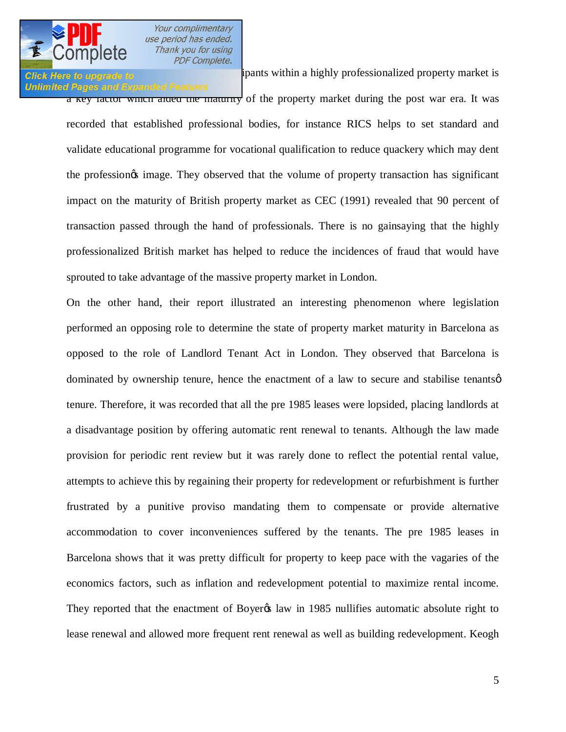

## **Unlimited Pages and Expanded Features**

**Click Here to upgrade to [alignment of the property market partici](http://www.pdfcomplete.com/cms/hppl/tabid/108/Default.aspx?r=q8b3uige22)pants within a highly professionalized property market is** a key factor which allea the maturity of the property market during the post war era. It was recorded that established professional bodies, for instance RICS helps to set standard and validate educational programme for vocational qualification to reduce quackery which may dent the profession<sub>of</sub> image. They observed that the volume of property transaction has significant impact on the maturity of British property market as CEC (1991) revealed that 90 percent of transaction passed through the hand of professionals. There is no gainsaying that the highly professionalized British market has helped to reduce the incidences of fraud that would have sprouted to take advantage of the massive property market in London.

On the other hand, their report illustrated an interesting phenomenon where legislation performed an opposing role to determine the state of property market maturity in Barcelona as opposed to the role of Landlord Tenant Act in London. They observed that Barcelona is dominated by ownership tenure, hence the enactment of a law to secure and stabilise tenants  $\varphi$ tenure. Therefore, it was recorded that all the pre 1985 leases were lopsided, placing landlords at a disadvantage position by offering automatic rent renewal to tenants. Although the law made provision for periodic rent review but it was rarely done to reflect the potential rental value, attempts to achieve this by regaining their property for redevelopment or refurbishment is further frustrated by a punitive proviso mandating them to compensate or provide alternative accommodation to cover inconveniences suffered by the tenants. The pre 1985 leases in Barcelona shows that it was pretty difficult for property to keep pace with the vagaries of the economics factors, such as inflation and redevelopment potential to maximize rental income. They reported that the enactment of Boyer taw in 1985 nullifies automatic absolute right to lease renewal and allowed more frequent rent renewal as well as building redevelopment. Keogh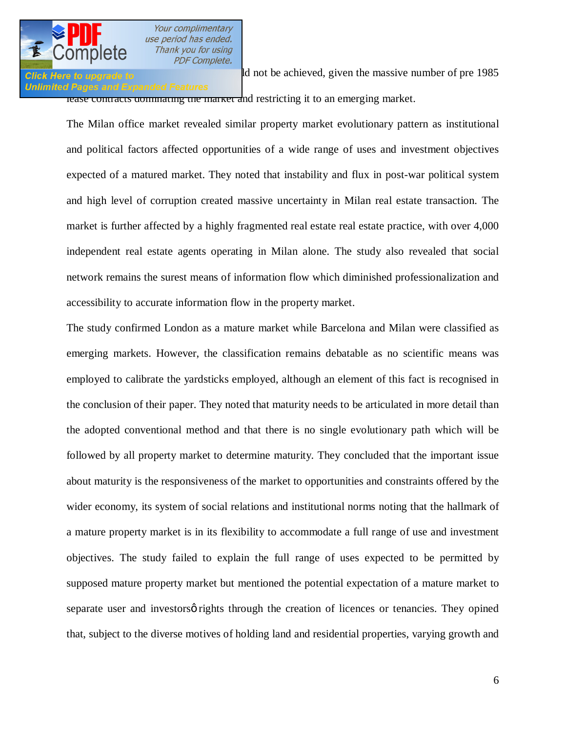

#### **Unlimited Pages and Expanded Features**

**Effect all not be achieved, given the massive number of pre 1985** lease contracts dominating the market and restricting it to an emerging market.

The Milan office market revealed similar property market evolutionary pattern as institutional and political factors affected opportunities of a wide range of uses and investment objectives expected of a matured market. They noted that instability and flux in post-war political system and high level of corruption created massive uncertainty in Milan real estate transaction. The market is further affected by a highly fragmented real estate real estate practice, with over 4,000 independent real estate agents operating in Milan alone. The study also revealed that social network remains the surest means of information flow which diminished professionalization and accessibility to accurate information flow in the property market.

The study confirmed London as a mature market while Barcelona and Milan were classified as emerging markets. However, the classification remains debatable as no scientific means was employed to calibrate the yardsticks employed, although an element of this fact is recognised in the conclusion of their paper. They noted that maturity needs to be articulated in more detail than the adopted conventional method and that there is no single evolutionary path which will be followed by all property market to determine maturity. They concluded that the important issue about maturity is the responsiveness of the market to opportunities and constraints offered by the wider economy, its system of social relations and institutional norms noting that the hallmark of a mature property market is in its flexibility to accommodate a full range of use and investment objectives. The study failed to explain the full range of uses expected to be permitted by supposed mature property market but mentioned the potential expectation of a mature market to separate user and investors o rights through the creation of licences or tenancies. They opined that, subject to the diverse motives of holding land and residential properties, varying growth and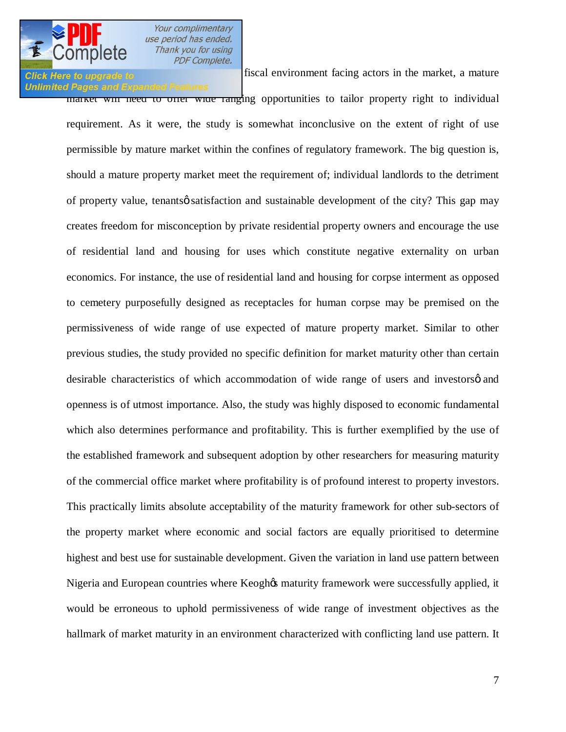# **Unlimited Pages and Expanded Features**

**Click Here to upgrade to repulse the sundry legal and fiscal environment facing actors in the market, a mature** 

market will need to offer wide ranging opportunities to tailor property right to individual requirement. As it were, the study is somewhat inconclusive on the extent of right of use permissible by mature market within the confines of regulatory framework. The big question is, should a mature property market meet the requirement of; individual landlords to the detriment of property value, tenantsø satisfaction and sustainable development of the city? This gap may creates freedom for misconception by private residential property owners and encourage the use of residential land and housing for uses which constitute negative externality on urban economics. For instance, the use of residential land and housing for corpse interment as opposed to cemetery purposefully designed as receptacles for human corpse may be premised on the permissiveness of wide range of use expected of mature property market. Similar to other previous studies, the study provided no specific definition for market maturity other than certain desirable characteristics of which accommodation of wide range of users and investorsø and openness is of utmost importance. Also, the study was highly disposed to economic fundamental which also determines performance and profitability. This is further exemplified by the use of the established framework and subsequent adoption by other researchers for measuring maturity of the commercial office market where profitability is of profound interest to property investors. This practically limits absolute acceptability of the maturity framework for other sub-sectors of the property market where economic and social factors are equally prioritised to determine highest and best use for sustainable development. Given the variation in land use pattern between Nigeria and European countries where Keoghos maturity framework were successfully applied, it would be erroneous to uphold permissiveness of wide range of investment objectives as the hallmark of market maturity in an environment characterized with conflicting land use pattern. It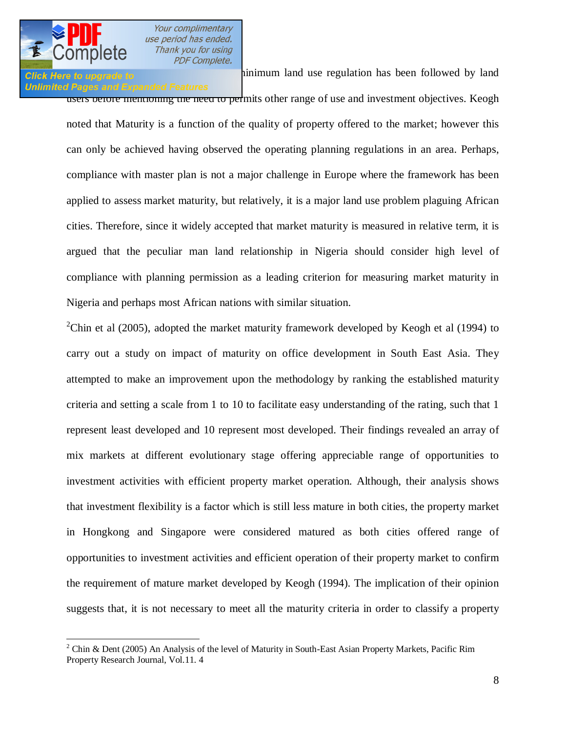

### **Unlimited Pages and Expanded Features**

**Click Here to upgrade to by a system to ensure the minimum** land use regulation has been followed by land

users before mentioning the need to permits other range of use and investment objectives. Keogh noted that Maturity is a function of the quality of property offered to the market; however this can only be achieved having observed the operating planning regulations in an area. Perhaps, compliance with master plan is not a major challenge in Europe where the framework has been applied to assess market maturity, but relatively, it is a major land use problem plaguing African cities. Therefore, since it widely accepted that market maturity is measured in relative term, it is argued that the peculiar man land relationship in Nigeria should consider high level of compliance with planning permission as a leading criterion for measuring market maturity in Nigeria and perhaps most African nations with similar situation.

<sup>2</sup>Chin et al (2005), adopted the market maturity framework developed by Keogh et al (1994) to carry out a study on impact of maturity on office development in South East Asia. They attempted to make an improvement upon the methodology by ranking the established maturity criteria and setting a scale from 1 to 10 to facilitate easy understanding of the rating, such that 1 represent least developed and 10 represent most developed. Their findings revealed an array of mix markets at different evolutionary stage offering appreciable range of opportunities to investment activities with efficient property market operation. Although, their analysis shows that investment flexibility is a factor which is still less mature in both cities, the property market in Hongkong and Singapore were considered matured as both cities offered range of opportunities to investment activities and efficient operation of their property market to confirm the requirement of mature market developed by Keogh (1994). The implication of their opinion suggests that, it is not necessary to meet all the maturity criteria in order to classify a property

<sup>&</sup>lt;sup>2</sup> Chin & Dent (2005) An Analysis of the level of Maturity in South-East Asian Property Markets, Pacific Rim Property Research Journal, Vol.11. 4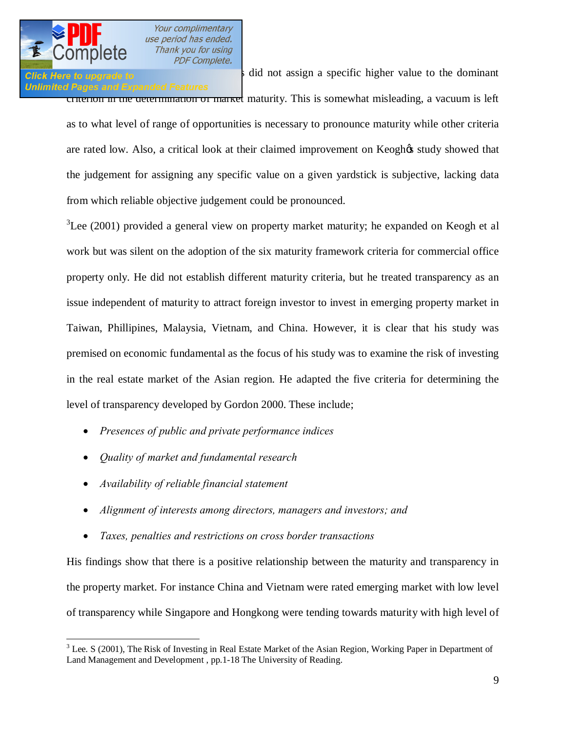# **Unlimited Pages and Expanded Features**

**Click Here to upgrade to**  $\frac{1}{2}$  as did not assign a specific higher value to the dominant criterion in the determination of market maturity. This is somewhat misleading, a vacuum is left as to what level of range of opportunities is necessary to pronounce maturity while other criteria are rated low. Also, a critical look at their claimed improvement on Keoghos study showed that the judgement for assigning any specific value on a given yardstick is subjective, lacking data from which reliable objective judgement could be pronounced.

 $3$ Lee (2001) provided a general view on property market maturity; he expanded on Keogh et al work but was silent on the adoption of the six maturity framework criteria for commercial office property only. He did not establish different maturity criteria, but he treated transparency as an issue independent of maturity to attract foreign investor to invest in emerging property market in Taiwan, Phillipines, Malaysia, Vietnam, and China. However, it is clear that his study was premised on economic fundamental as the focus of his study was to examine the risk of investing in the real estate market of the Asian region. He adapted the five criteria for determining the level of transparency developed by Gordon 2000. These include;

- · *Presences of public and private performance indices*
- · *Quality of market and fundamental research*
- · *Availability of reliable financial statement*
- · *Alignment of interests among directors, managers and investors; and*
- · *Taxes, penalties and restrictions on cross border transactions*

His findings show that there is a positive relationship between the maturity and transparency in the property market. For instance China and Vietnam were rated emerging market with low level of transparency while Singapore and Hongkong were tending towards maturity with high level of

<sup>&</sup>lt;sup>3</sup> Lee. S (2001), The Risk of Investing in Real Estate Market of the Asian Region, Working Paper in Department of Land Management and Development , pp.1-18 The University of Reading.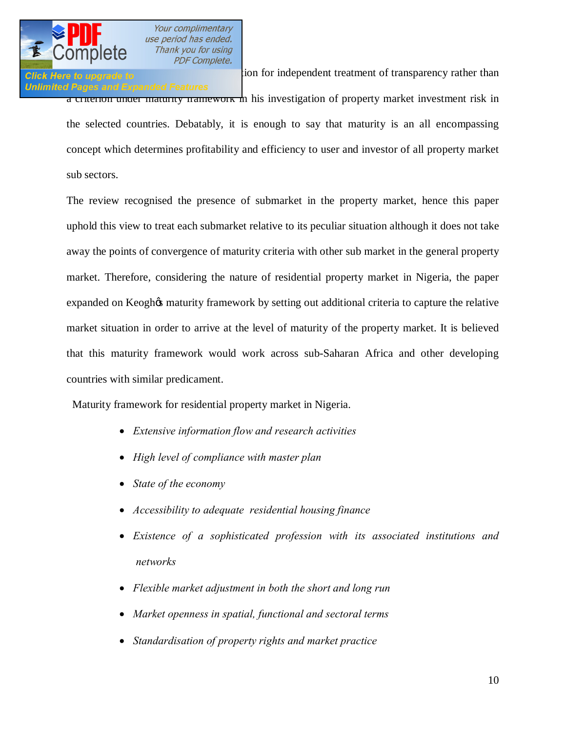

# **Unlimited Pages and Expanded Features**

**Click Here to upgrade to Exercise 2016** ion for independent treatment of transparency rather than a criterion under maturity framework in his investigation of property market investment risk in the selected countries. Debatably, it is enough to say that maturity is an all encompassing concept which determines profitability and efficiency to user and investor of all property market sub sectors.

The review recognised the presence of submarket in the property market, hence this paper uphold this view to treat each submarket relative to its peculiar situation although it does not take away the points of convergence of maturity criteria with other sub market in the general property market. Therefore, considering the nature of residential property market in Nigeria, the paper expanded on Keoghos maturity framework by setting out additional criteria to capture the relative market situation in order to arrive at the level of maturity of the property market. It is believed that this maturity framework would work across sub-Saharan Africa and other developing countries with similar predicament.

Maturity framework for residential property market in Nigeria.

- · *Extensive information flow and research activities*
- · *High level of compliance with master plan*
- · *State of the economy*
- · *Accessibility to adequate residential housing finance*
- · *Existence of a sophisticated profession with its associated institutions and networks*
- · *Flexible market adjustment in both the short and long run*
- · *Market openness in spatial, functional and sectoral terms*
- · *Standardisation of property rights and market practice*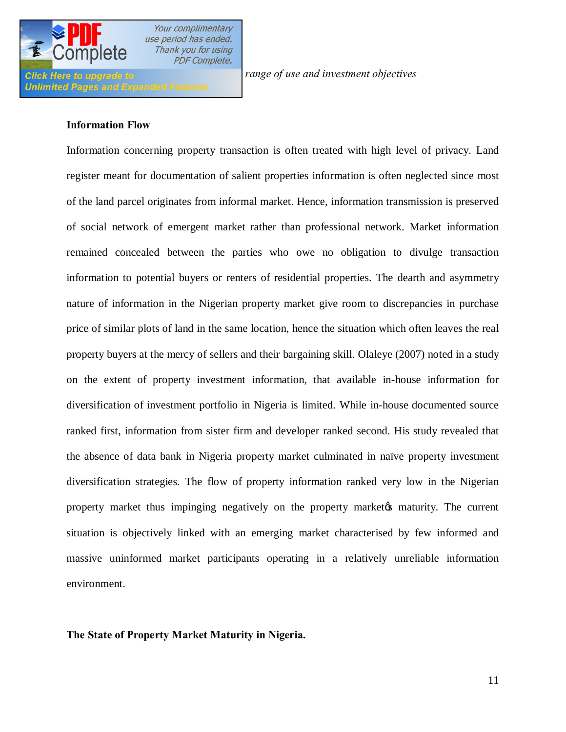

I

Your complimentary use period has ended. Thank you for using **PDF Complete.** 

**Click Here to upgrade to** *According to the full range of use and investment objectives* 

#### **Information Flow**

Information concerning property transaction is often treated with high level of privacy. Land register meant for documentation of salient properties information is often neglected since most of the land parcel originates from informal market. Hence, information transmission is preserved of social network of emergent market rather than professional network. Market information remained concealed between the parties who owe no obligation to divulge transaction information to potential buyers or renters of residential properties. The dearth and asymmetry nature of information in the Nigerian property market give room to discrepancies in purchase price of similar plots of land in the same location, hence the situation which often leaves the real property buyers at the mercy of sellers and their bargaining skill. Olaleye (2007) noted in a study on the extent of property investment information, that available in-house information for diversification of investment portfolio in Nigeria is limited. While in-house documented source ranked first, information from sister firm and developer ranked second. His study revealed that the absence of data bank in Nigeria property market culminated in naïve property investment diversification strategies. The flow of property information ranked very low in the Nigerian property market thus impinging negatively on the property market the maturity. The current situation is objectively linked with an emerging market characterised by few informed and massive uninformed market participants operating in a relatively unreliable information environment.

**The State of Property Market Maturity in Nigeria.**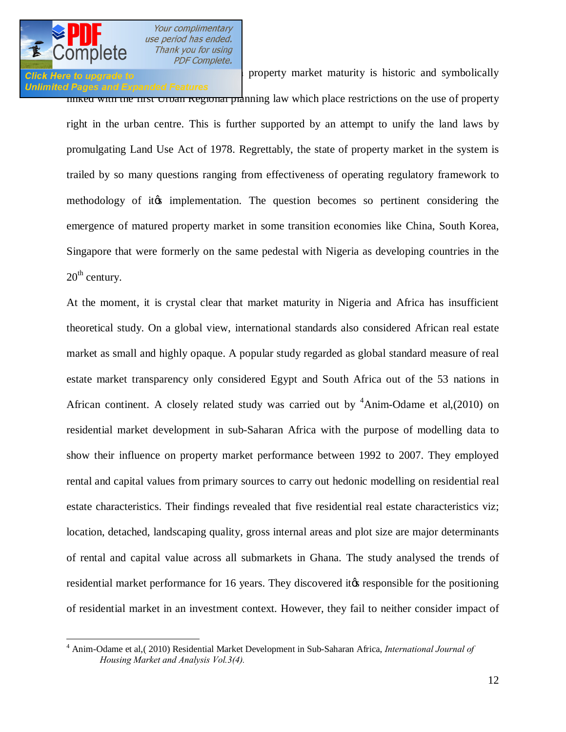## Click Here to upgrade to **EV** is historic and symbolically **Unlimited Pages and Expanded Features**

Iniked with the first Urban Regional planning law which place restrictions on the use of property right in the urban centre. This is further supported by an attempt to unify the land laws by promulgating Land Use Act of 1978. Regrettably, the state of property market in the system is trailed by so many questions ranging from effectiveness of operating regulatory framework to methodology of it the implementation. The question becomes so pertinent considering the emergence of matured property market in some transition economies like China, South Korea, Singapore that were formerly on the same pedestal with Nigeria as developing countries in the  $20<sup>th</sup>$  century.

At the moment, it is crystal clear that market maturity in Nigeria and Africa has insufficient theoretical study. On a global view, international standards also considered African real estate market as small and highly opaque. A popular study regarded as global standard measure of real estate market transparency only considered Egypt and South Africa out of the 53 nations in African continent. A closely related study was carried out by  $4$ Anim-Odame et al,(2010) on residential market development in sub-Saharan Africa with the purpose of modelling data to show their influence on property market performance between 1992 to 2007. They employed rental and capital values from primary sources to carry out hedonic modelling on residential real estate characteristics. Their findings revealed that five residential real estate characteristics viz; location, detached, landscaping quality, gross internal areas and plot size are major determinants of rental and capital value across all submarkets in Ghana. The study analysed the trends of residential market performance for 16 years. They discovered it the responsible for the positioning of residential market in an investment context. However, they fail to neither consider impact of

 <sup>4</sup> Anim-Odame et al,( 2010) Residential Market Development in Sub-Saharan Africa, *International Journal of Housing Market and Analysis Vol.3(4).*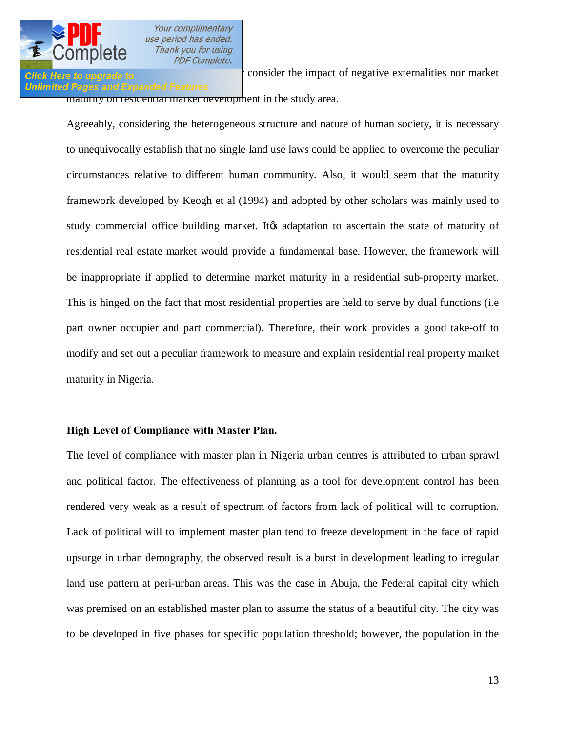

#### **Unlimited Pages and Expanded Features**

**Click Here to upgrade to neither consider the impact of negative externalities nor market** maturity on residential market development in the study area.

Agreeably, considering the heterogeneous structure and nature of human society, it is necessary to unequivocally establish that no single land use laws could be applied to overcome the peculiar circumstances relative to different human community. Also, it would seem that the maturity framework developed by Keogh et al (1994) and adopted by other scholars was mainly used to study commercial office building market. It adaptation to ascertain the state of maturity of residential real estate market would provide a fundamental base. However, the framework will be inappropriate if applied to determine market maturity in a residential sub-property market. This is hinged on the fact that most residential properties are held to serve by dual functions (i.e part owner occupier and part commercial). Therefore, their work provides a good take-off to modify and set out a peculiar framework to measure and explain residential real property market maturity in Nigeria.

### **High Level of Compliance with Master Plan.**

The level of compliance with master plan in Nigeria urban centres is attributed to urban sprawl and political factor. The effectiveness of planning as a tool for development control has been rendered very weak as a result of spectrum of factors from lack of political will to corruption. Lack of political will to implement master plan tend to freeze development in the face of rapid upsurge in urban demography, the observed result is a burst in development leading to irregular land use pattern at peri-urban areas. This was the case in Abuja, the Federal capital city which was premised on an established master plan to assume the status of a beautiful city. The city was to be developed in five phases for specific population threshold; however, the population in the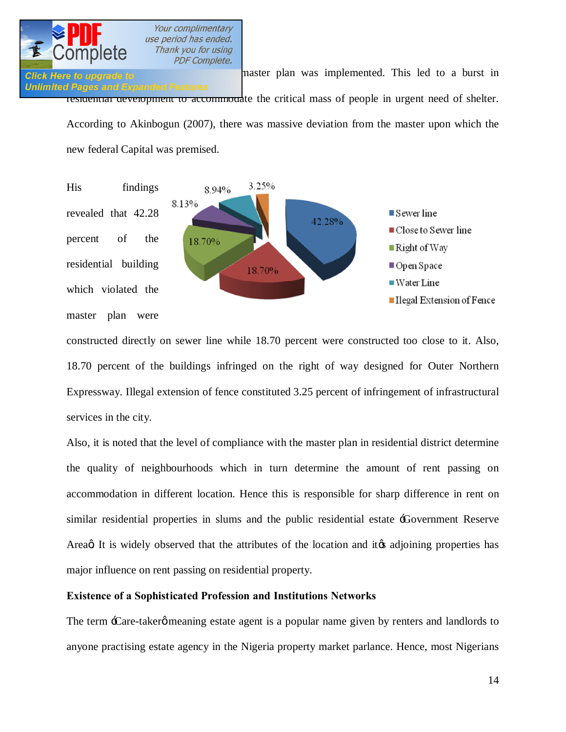

**Click Here to upgrade to has a burst in** master plan was implemented. This led to a burst in **Unlimited Pages and Expanded Features** residential development to accommodate the critical mass of people in urgent need of shelter. According to Akinbogun (2007), there was massive deviation from the master upon which the new federal Capital was premised.



constructed directly on sewer line while 18.70 percent were constructed too close to it. Also, 18.70 percent of the buildings infringed on the right of way designed for Outer Northern Expressway. Illegal extension of fence constituted 3.25 percent of infringement of infrastructural services in the city.

Also, it is noted that the level of compliance with the master plan in residential district determine the quality of neighbourhoods which in turn determine the amount of rent passing on accommodation in different location. Hence this is responsible for sharp difference in rent on similar residential properties in slums and the public residential estate 'Government Reserve Area t It is widely observed that the attributes of the location and it is adjoining properties has major influence on rent passing on residential property.

### **Existence of a Sophisticated Profession and Institutions Networks**

The term  $\pm$ Care-takerø meaning estate agent is a popular name given by renters and landlords to anyone practising estate agency in the Nigeria property market parlance. Hence, most Nigerians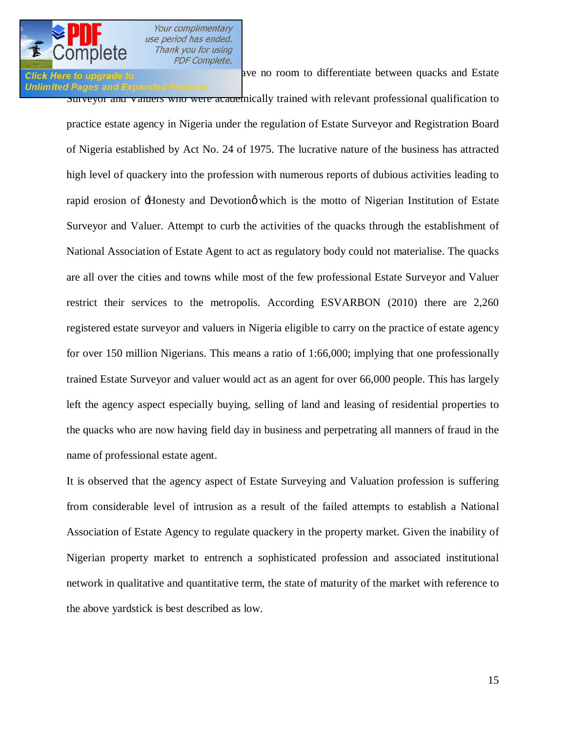# **Unlimited Pages and Expanded Features**

**Click Here to upgrade to a** misconceptive and a misconceptive and Estate of the state of the state and Estate

Surveyor and valuers who were academically trained with relevant professional qualification to practice estate agency in Nigeria under the regulation of Estate Surveyor and Registration Board of Nigeria established by Act No. 24 of 1975. The lucrative nature of the business has attracted high level of quackery into the profession with numerous reports of dubious activities leading to rapid erosion of  $\pm$ Ionesty and Devotiong which is the motto of Nigerian Institution of Estate Surveyor and Valuer. Attempt to curb the activities of the quacks through the establishment of National Association of Estate Agent to act as regulatory body could not materialise. The quacks are all over the cities and towns while most of the few professional Estate Surveyor and Valuer restrict their services to the metropolis. According ESVARBON (2010) there are 2,260 registered estate surveyor and valuers in Nigeria eligible to carry on the practice of estate agency for over 150 million Nigerians. This means a ratio of 1:66,000; implying that one professionally trained Estate Surveyor and valuer would act as an agent for over 66,000 people. This has largely left the agency aspect especially buying, selling of land and leasing of residential properties to the quacks who are now having field day in business and perpetrating all manners of fraud in the name of professional estate agent.

It is observed that the agency aspect of Estate Surveying and Valuation profession is suffering from considerable level of intrusion as a result of the failed attempts to establish a National Association of Estate Agency to regulate quackery in the property market. Given the inability of Nigerian property market to entrench a sophisticated profession and associated institutional network in qualitative and quantitative term, the state of maturity of the market with reference to the above yardstick is best described as low.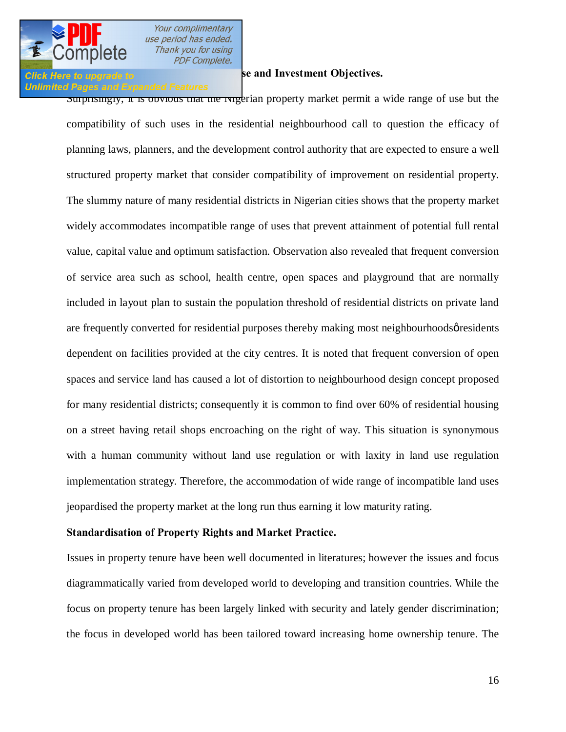

### **According to a Full Range of a Full Range of a Full Range of According Se and Investment Objectives.**

#### **Unlimited Pages and Expanded Features**

Surprisingly, it is obvious that the Ivigerian property market permit a wide range of use but the compatibility of such uses in the residential neighbourhood call to question the efficacy of planning laws, planners, and the development control authority that are expected to ensure a well structured property market that consider compatibility of improvement on residential property. The slummy nature of many residential districts in Nigerian cities shows that the property market widely accommodates incompatible range of uses that prevent attainment of potential full rental value, capital value and optimum satisfaction. Observation also revealed that frequent conversion of service area such as school, health centre, open spaces and playground that are normally included in layout plan to sustain the population threshold of residential districts on private land are frequently converted for residential purposes thereby making most neighbourhoods  $\varphi$  residents dependent on facilities provided at the city centres. It is noted that frequent conversion of open spaces and service land has caused a lot of distortion to neighbourhood design concept proposed for many residential districts; consequently it is common to find over 60% of residential housing on a street having retail shops encroaching on the right of way. This situation is synonymous with a human community without land use regulation or with laxity in land use regulation implementation strategy. Therefore, the accommodation of wide range of incompatible land uses jeopardised the property market at the long run thus earning it low maturity rating.

### **Standardisation of Property Rights and Market Practice.**

Issues in property tenure have been well documented in literatures; however the issues and focus diagrammatically varied from developed world to developing and transition countries. While the focus on property tenure has been largely linked with security and lately gender discrimination; the focus in developed world has been tailored toward increasing home ownership tenure. The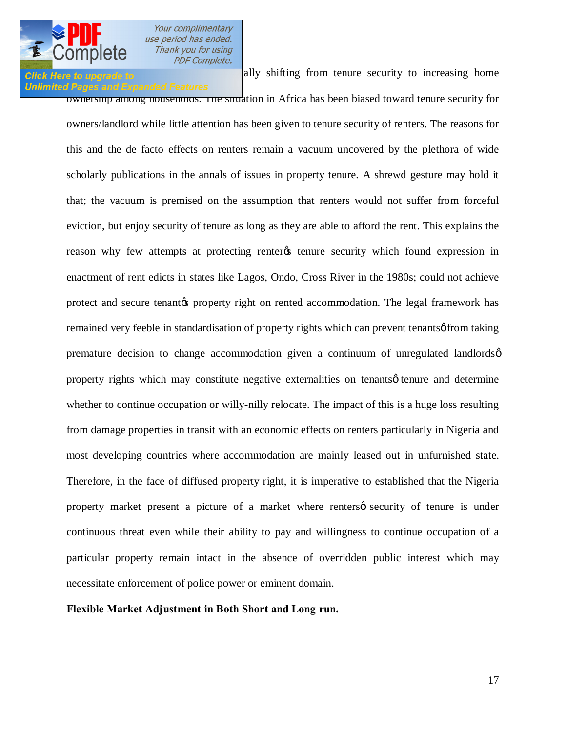**Click Here to upgrade to increasing in the lally shifting from tenure security to increasing home** 

Your complimentary use period has ended. Thank you for using **PDF Complete.** 

**Unlimited Pages and Expanded Features** ownership among households. The situation in Africa has been biased toward tenure security for owners/landlord while little attention has been given to tenure security of renters. The reasons for this and the de facto effects on renters remain a vacuum uncovered by the plethora of wide scholarly publications in the annals of issues in property tenure. A shrewd gesture may hold it that; the vacuum is premised on the assumption that renters would not suffer from forceful eviction, but enjoy security of tenure as long as they are able to afford the rent. This explains the reason why few attempts at protecting renter tenure security which found expression in enactment of rent edicts in states like Lagos, Ondo, Cross River in the 1980s; could not achieve protect and secure tenant to property right on rented accommodation. The legal framework has remained very feeble in standardisation of property rights which can prevent tenants of from taking premature decision to change accommodation given a continuum of unregulated landlords' property rights which may constitute negative externalities on tenants  $\phi$  tenure and determine whether to continue occupation or willy-nilly relocate. The impact of this is a huge loss resulting from damage properties in transit with an economic effects on renters particularly in Nigeria and most developing countries where accommodation are mainly leased out in unfurnished state. Therefore, in the face of diffused property right, it is imperative to established that the Nigeria property market present a picture of a market where renters ts security of tenure is under continuous threat even while their ability to pay and willingness to continue occupation of a particular property remain intact in the absence of overridden public interest which may necessitate enforcement of police power or eminent domain.

**Flexible Market Adjustment in Both Short and Long run.**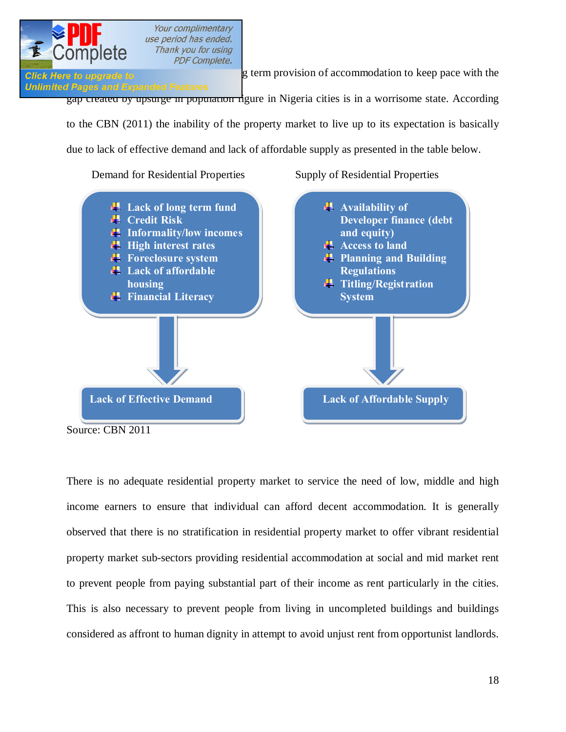

**Click Here to upgrade to g** term provision of accommodation to keep pace with the

**Unlimited Pages and Expanded Features** gap created by upsurge in population figure in Nigeria cities is in a worrisome state. According to the CBN (2011) the inability of the property market to live up to its expectation is basically due to lack of effective demand and lack of affordable supply as presented in the table below.

Demand for Residential Properties Supply of Residential Properties



Source: CBN 2011

There is no adequate residential property market to service the need of low, middle and high income earners to ensure that individual can afford decent accommodation. It is generally observed that there is no stratification in residential property market to offer vibrant residential property market sub-sectors providing residential accommodation at social and mid market rent to prevent people from paying substantial part of their income as rent particularly in the cities. This is also necessary to prevent people from living in uncompleted buildings and buildings considered as affront to human dignity in attempt to avoid unjust rent from opportunist landlords.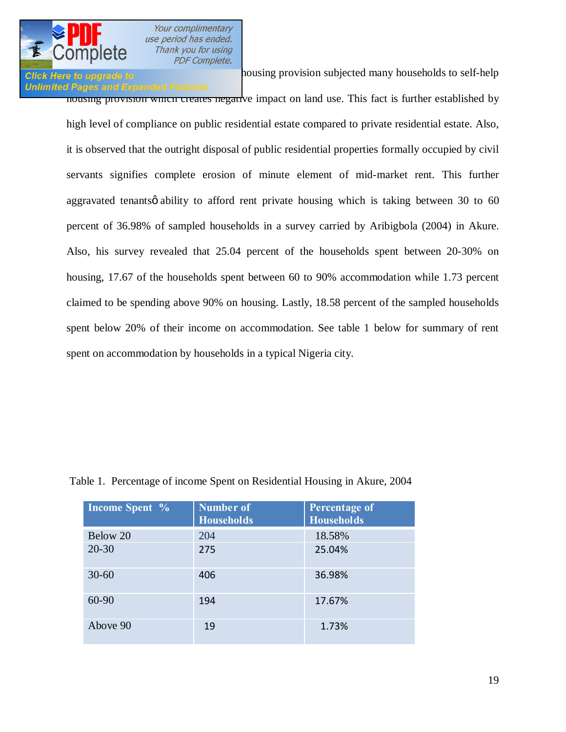

## **Unlimited Pages and Expanded Features**

**Click Here to upgrade to Example 10 housing provision subjected many households to self-help** 

housing provision which creates negative impact on land use. This fact is further established by high level of compliance on public residential estate compared to private residential estate. Also, it is observed that the outright disposal of public residential properties formally occupied by civil servants signifies complete erosion of minute element of mid-market rent. This further aggravated tenants  $\phi$  ability to afford rent private housing which is taking between 30 to 60 percent of 36.98% of sampled households in a survey carried by Aribigbola (2004) in Akure. Also, his survey revealed that 25.04 percent of the households spent between 20-30% on housing, 17.67 of the households spent between 60 to 90% accommodation while 1.73 percent claimed to be spending above 90% on housing. Lastly, 18.58 percent of the sampled households spent below 20% of their income on accommodation. See table 1 below for summary of rent spent on accommodation by households in a typical Nigeria city.

| Income Spent % | <b>Number of</b><br><b>Households</b> | Percentage of<br><b>Households</b> |
|----------------|---------------------------------------|------------------------------------|
| Below 20       | 204                                   | 18.58%                             |
| $20 - 30$      | 275                                   | 25.04%                             |
| $30 - 60$      | 406                                   | 36.98%                             |
| 60-90          | 194                                   | 17.67%                             |
| Above 90       | 19                                    | 1.73%                              |

Table 1. Percentage of income Spent on Residential Housing in Akure, 2004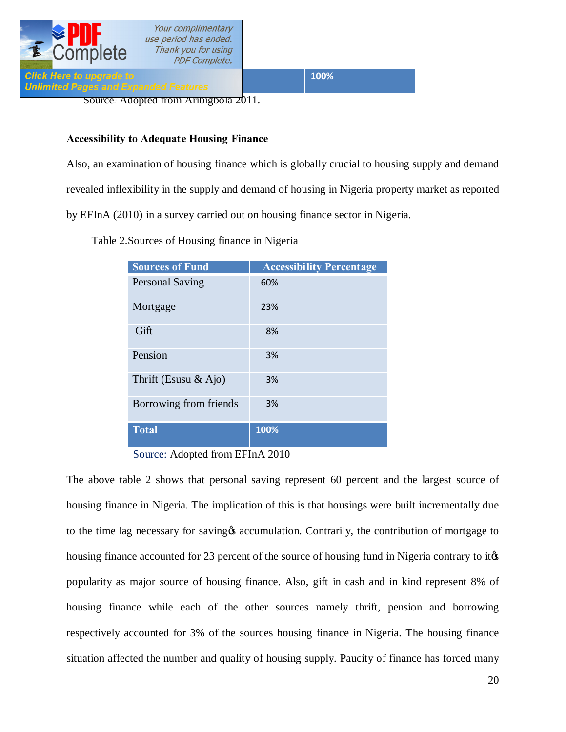

**Unlimited Pages and Expanded Features** 

**Click Here to upgrade to the state of the state of the state of the state of the state of the state of the state of the state of the state of the state of the state of the state of the state of the state of the state of t** 

Source*:* [Adopted from Aribigbola](http://www.pdfcomplete.com/cms/hppl/tabid/108/Default.aspx?r=q8b3uige22) 2011.

### **Accessibility to Adequate Housing Finance**

Also, an examination of housing finance which is globally crucial to housing supply and demand revealed inflexibility in the supply and demand of housing in Nigeria property market as reported by EFInA (2010) in a survey carried out on housing finance sector in Nigeria.

Table 2.Sources of Housing finance in Nigeria

| <b>Sources of Fund</b>  | <b>Accessibility Percentage</b> |
|-------------------------|---------------------------------|
| <b>Personal Saving</b>  | 60%                             |
| Mortgage                | 23%                             |
| Gift                    | 8%                              |
| Pension                 | 3%                              |
| Thrift (Esusu $\&$ Ajo) | 3%                              |
| Borrowing from friends  | 3%                              |
| <b>Total</b>            | 100%                            |

Source: Adopted from EFInA 2010

The above table 2 shows that personal saving represent 60 percent and the largest source of housing finance in Nigeria. The implication of this is that housings were built incrementally due to the time lag necessary for saving to accumulation. Contrarily, the contribution of mortgage to housing finance accounted for 23 percent of the source of housing fund in Nigeria contrary to it  $\&$ popularity as major source of housing finance. Also, gift in cash and in kind represent 8% of housing finance while each of the other sources namely thrift, pension and borrowing respectively accounted for 3% of the sources housing finance in Nigeria. The housing finance situation affected the number and quality of housing supply. Paucity of finance has forced many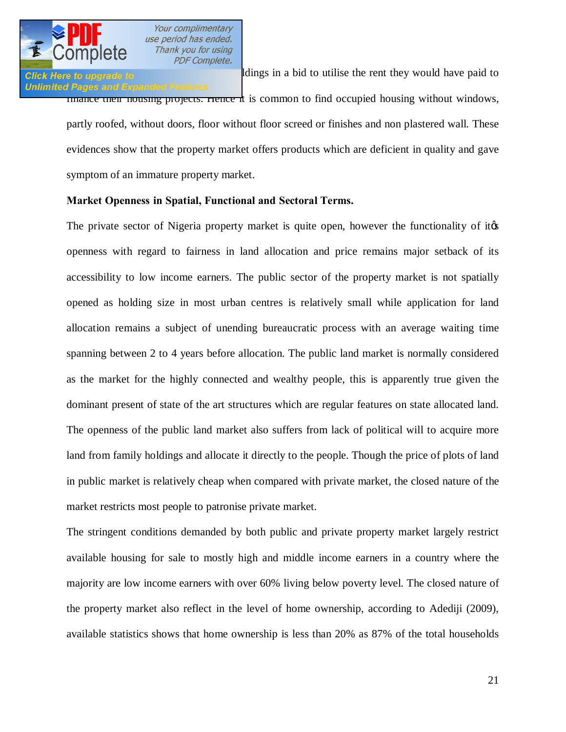

## **Unlimited Pages and Expanded Features**

**Click Here to upgrade to occupy uncontrollar a** bid to utilise the rent they would have paid to finance their housing projects. Hence it is common to find occupied housing without windows, partly roofed, without doors, floor without floor screed or finishes and non plastered wall. These evidences show that the property market offers products which are deficient in quality and gave symptom of an immature property market.

### **Market Openness in Spatial, Functional and Sectoral Terms.**

The private sector of Nigeria property market is quite open, however the functionality of its openness with regard to fairness in land allocation and price remains major setback of its accessibility to low income earners. The public sector of the property market is not spatially opened as holding size in most urban centres is relatively small while application for land allocation remains a subject of unending bureaucratic process with an average waiting time spanning between 2 to 4 years before allocation. The public land market is normally considered as the market for the highly connected and wealthy people, this is apparently true given the dominant present of state of the art structures which are regular features on state allocated land. The openness of the public land market also suffers from lack of political will to acquire more land from family holdings and allocate it directly to the people. Though the price of plots of land in public market is relatively cheap when compared with private market, the closed nature of the market restricts most people to patronise private market.

The stringent conditions demanded by both public and private property market largely restrict available housing for sale to mostly high and middle income earners in a country where the majority are low income earners with over 60% living below poverty level. The closed nature of the property market also reflect in the level of home ownership, according to Adediji (2009), available statistics shows that home ownership is less than 20% as 87% of the total households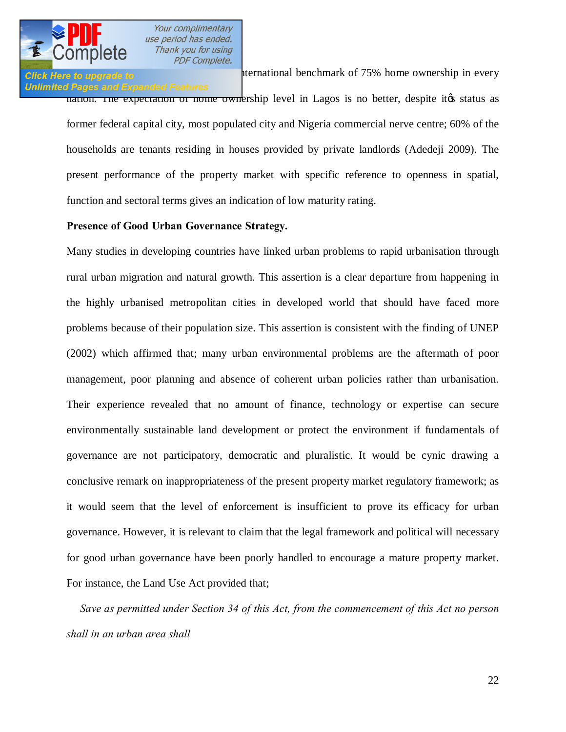

### **Click Here to upgrade to and short of international benchmark of 75% home ownership in every Unlimited Pages and Expanded Features**

nation. The expectation of nome ownership level in Lagos is no better, despite it to status as former federal capital city, most populated city and Nigeria commercial nerve centre; 60% of the households are tenants residing in houses provided by private landlords (Adedeji 2009). The present performance of the property market with specific reference to openness in spatial, function and sectoral terms gives an indication of low maturity rating.

### **Presence of Good Urban Governance Strategy.**

Many studies in developing countries have linked urban problems to rapid urbanisation through rural urban migration and natural growth. This assertion is a clear departure from happening in the highly urbanised metropolitan cities in developed world that should have faced more problems because of their population size. This assertion is consistent with the finding of UNEP (2002) which affirmed that; many urban environmental problems are the aftermath of poor management, poor planning and absence of coherent urban policies rather than urbanisation. Their experience revealed that no amount of finance, technology or expertise can secure environmentally sustainable land development or protect the environment if fundamentals of governance are not participatory, democratic and pluralistic. It would be cynic drawing a conclusive remark on inappropriateness of the present property market regulatory framework; as it would seem that the level of enforcement is insufficient to prove its efficacy for urban governance. However, it is relevant to claim that the legal framework and political will necessary for good urban governance have been poorly handled to encourage a mature property market. For instance, the Land Use Act provided that;

 *Save as permitted under Section 34 of this Act, from the commencement of this Act no person shall in an urban area shall*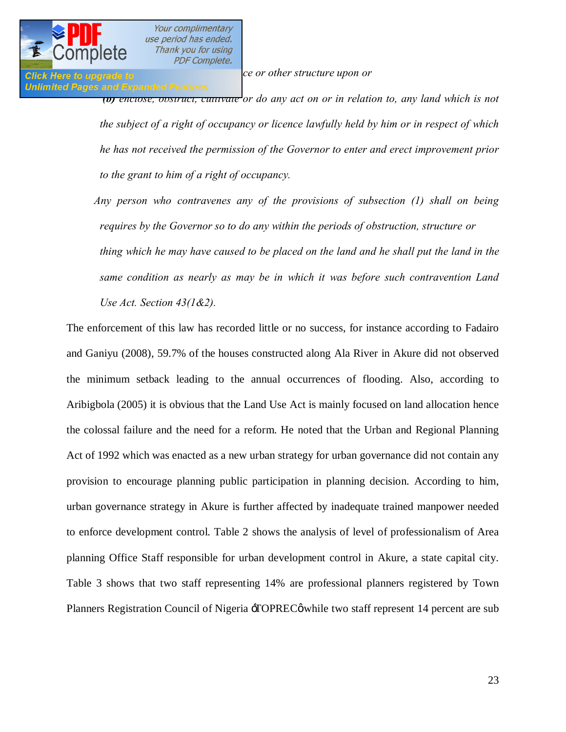**Click Here to upgrade to** *erection executive upon or <b><i>executive executive executive executive executive* 

## **Unlimited Pages and Expanded Features**

*(b) enclose, obstruct, cultivate or do any act on or in relation to, any land which is not the subject of a right of occupancy or licence lawfully held by him or in respect of which he has not received the permission of the Governor to enter and erect improvement prior to the grant to him of a right of occupancy.*

 *Any person who contravenes any of the provisions of subsection (1) shall on being requires by the Governor so to do any within the periods of obstruction, structure or thing which he may have caused to be placed on the land and he shall put the land in the same condition as nearly as may be in which it was before such contravention Land Use Act. Section 43(1&2).* 

The enforcement of this law has recorded little or no success, for instance according to Fadairo and Ganiyu (2008), 59.7% of the houses constructed along Ala River in Akure did not observed the minimum setback leading to the annual occurrences of flooding. Also, according to Aribigbola (2005) it is obvious that the Land Use Act is mainly focused on land allocation hence the colossal failure and the need for a reform. He noted that the Urban and Regional Planning Act of 1992 which was enacted as a new urban strategy for urban governance did not contain any provision to encourage planning public participation in planning decision. According to him, urban governance strategy in Akure is further affected by inadequate trained manpower needed to enforce development control. Table 2 shows the analysis of level of professionalism of Area planning Office Staff responsible for urban development control in Akure, a state capital city. Table 3 shows that two staff representing 14% are professional planners registered by Town Planners Registration Council of Nigeria  $\exists$ OPREC $\emptyset$  while two staff represent 14 percent are sub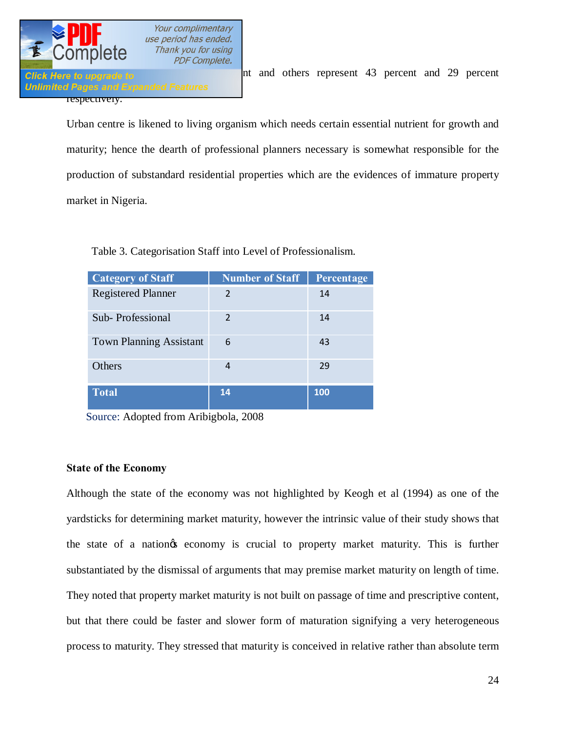

**Unlimited Pages and Expande** respectively.

**Professional Elisabeth planning Assistant and Scheme and Assistant Assistant Assistant Assistant Assistant Ass** 

Urban centre is likened to living organism which needs certain essential nutrient for growth and maturity; hence the dearth of professional planners necessary is somewhat responsible for the production of substandard residential properties which are the evidences of immature property market in Nigeria.

| <b>Category of Staff</b>       | <b>Number of Staff</b> | Percentage |
|--------------------------------|------------------------|------------|
| <b>Registered Planner</b>      | $\mathcal{P}$          | 14         |
| Sub-Professional               | $\mathcal{P}$          | 14         |
| <b>Town Planning Assistant</b> | 6                      | 43         |
| Others                         | 4                      | 29         |
| <b>Total</b>                   | 14                     | 100        |

Table 3. Categorisation Staff into Level of Professionalism.

Source: Adopted from Aribigbola, 2008

### **State of the Economy**

Although the state of the economy was not highlighted by Keogh et al (1994) as one of the yardsticks for determining market maturity, however the intrinsic value of their study shows that the state of a nation ts economy is crucial to property market maturity. This is further substantiated by the dismissal of arguments that may premise market maturity on length of time. They noted that property market maturity is not built on passage of time and prescriptive content, but that there could be faster and slower form of maturation signifying a very heterogeneous process to maturity. They stressed that maturity is conceived in relative rather than absolute term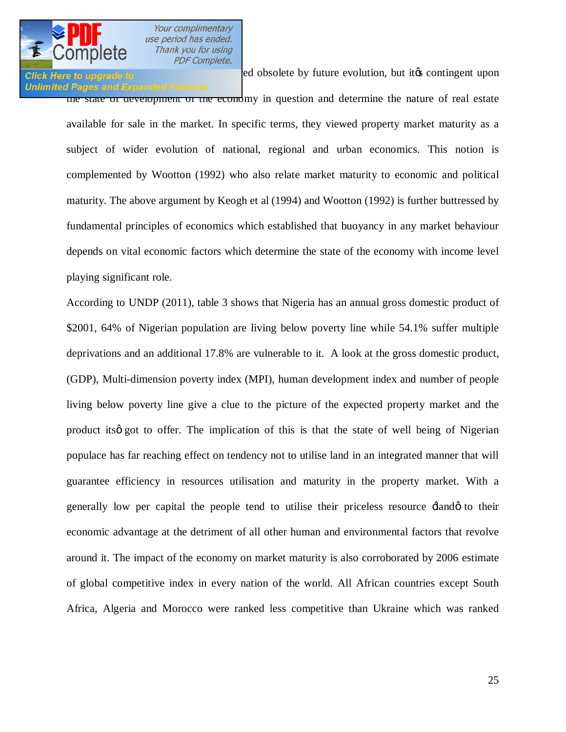

### **Click Here to upgrade to Exerception** may be red obsolete by future evolution, but it's contingent upon **Unlimited Pages and Expanded Features**

the state of development of the economy in question and determine the nature of real estate available for sale in the market. In specific terms, they viewed property market maturity as a subject of wider evolution of national, regional and urban economics. This notion is complemented by Wootton (1992) who also relate market maturity to economic and political maturity. The above argument by Keogh et al (1994) and Wootton (1992) is further buttressed by fundamental principles of economics which established that buoyancy in any market behaviour depends on vital economic factors which determine the state of the economy with income level playing significant role.

According to UNDP (2011), table 3 shows that Nigeria has an annual gross domestic product of \$2001, 64% of Nigerian population are living below poverty line while 54.1% suffer multiple deprivations and an additional 17.8% are vulnerable to it. A look at the gross domestic product, (GDP), Multi-dimension poverty index (MPI), human development index and number of people living below poverty line give a clue to the picture of the expected property market and the product its g got to offer. The implication of this is that the state of well being of Nigerian populace has far reaching effect on tendency not to utilise land in an integrated manner that will guarantee efficiency in resources utilisation and maturity in the property market. With a generally low per capital the people tend to utilise their priceless resource  $\pm$ lando to their economic advantage at the detriment of all other human and environmental factors that revolve around it. The impact of the economy on market maturity is also corroborated by 2006 estimate of global competitive index in every nation of the world. All African countries except South Africa, Algeria and Morocco were ranked less competitive than Ukraine which was ranked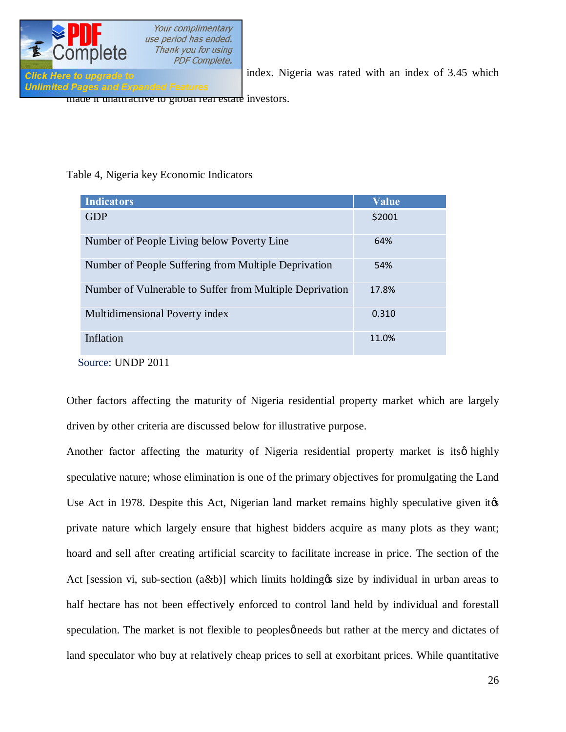

[lowest on Lang LaSalle Transparency](http://www.pdfcomplete.com/cms/hppl/tabid/108/Default.aspx?r=q8b3uige22) index. Nigeria was rated with an index of 3.45 which

**Unlimited Pages and Expanded Features** 

made it unattractive to global real estate investors.

## Table 4, Nigeria key Economic Indicators

| <b>Indicators</b>                                        | Value  |
|----------------------------------------------------------|--------|
| <b>GDP</b>                                               | \$2001 |
| Number of People Living below Poverty Line               | 64%    |
| Number of People Suffering from Multiple Deprivation     | 54%    |
| Number of Vulnerable to Suffer from Multiple Deprivation | 17.8%  |
| Multidimensional Poverty index                           | 0.310  |
| Inflation                                                | 11.0%  |
| Source: UNDP 2011                                        |        |

Other factors affecting the maturity of Nigeria residential property market which are largely driven by other criteria are discussed below for illustrative purpose.

Another factor affecting the maturity of Nigeria residential property market is itsø highly speculative nature; whose elimination is one of the primary objectives for promulgating the Land Use Act in 1978. Despite this Act, Nigerian land market remains highly speculative given it  $\alpha$ private nature which largely ensure that highest bidders acquire as many plots as they want; hoard and sell after creating artificial scarcity to facilitate increase in price. The section of the Act [session vi, sub-section  $(a\&b)$ ] which limits holding  $\&$  size by individual in urban areas to half hectare has not been effectively enforced to control land held by individual and forestall speculation. The market is not flexible to peoples *p* needs but rather at the mercy and dictates of land speculator who buy at relatively cheap prices to sell at exorbitant prices. While quantitative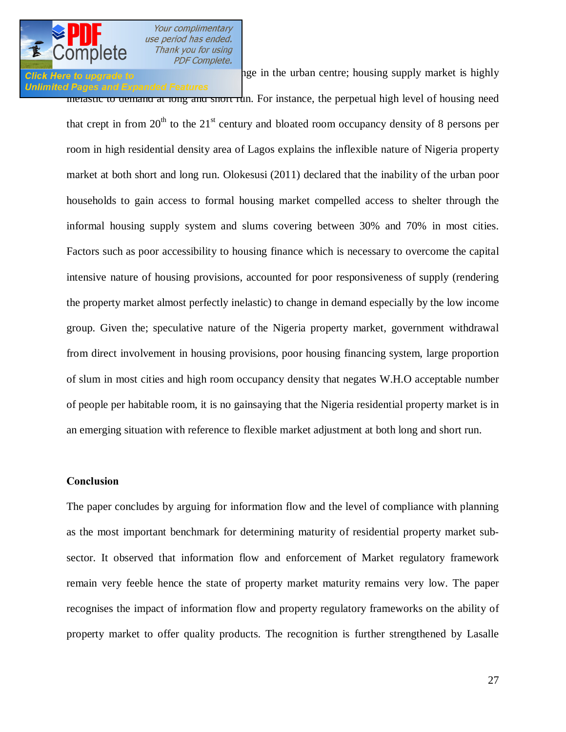## **Unlimited Pages and Expanded Features**

**Click Here to upgrade to remains may be a set of the urban centre;** housing supply market is highly

inelastic to demand at long and short run. For instance, the perpetual high level of housing need that crept in from  $20<sup>th</sup>$  to the  $21<sup>st</sup>$  century and bloated room occupancy density of 8 persons per room in high residential density area of Lagos explains the inflexible nature of Nigeria property market at both short and long run. Olokesusi (2011) declared that the inability of the urban poor households to gain access to formal housing market compelled access to shelter through the informal housing supply system and slums covering between 30% and 70% in most cities. Factors such as poor accessibility to housing finance which is necessary to overcome the capital intensive nature of housing provisions, accounted for poor responsiveness of supply (rendering the property market almost perfectly inelastic) to change in demand especially by the low income group. Given the; speculative nature of the Nigeria property market, government withdrawal from direct involvement in housing provisions, poor housing financing system, large proportion of slum in most cities and high room occupancy density that negates W.H.O acceptable number of people per habitable room, it is no gainsaying that the Nigeria residential property market is in an emerging situation with reference to flexible market adjustment at both long and short run.

### **Conclusion**

The paper concludes by arguing for information flow and the level of compliance with planning as the most important benchmark for determining maturity of residential property market subsector. It observed that information flow and enforcement of Market regulatory framework remain very feeble hence the state of property market maturity remains very low. The paper recognises the impact of information flow and property regulatory frameworks on the ability of property market to offer quality products. The recognition is further strengthened by Lasalle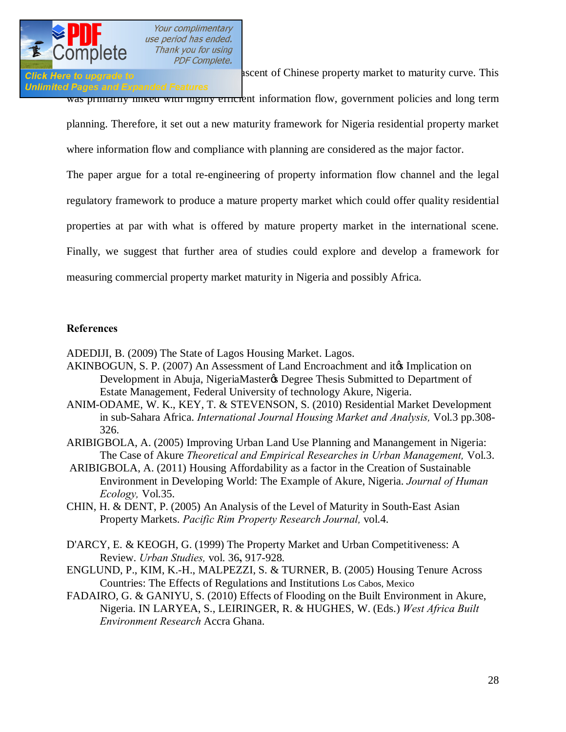

Click Here to upgrade to **and asset and ascent of Chinese property market to maturity curve.** This

**Unlimited Pages and Expanded Features** was primarily information flow, government policies and long term

planning. Therefore, it set out a new maturity framework for Nigeria residential property market where information flow and compliance with planning are considered as the major factor.

The paper argue for a total re-engineering of property information flow channel and the legal regulatory framework to produce a mature property market which could offer quality residential properties at par with what is offered by mature property market in the international scene. Finally, we suggest that further area of studies could explore and develop a framework for measuring commercial property market maturity in Nigeria and possibly Africa.

### **References**

ADEDIJI, B. (2009) The State of Lagos Housing Market. Lagos.

- AKINBOGUN, S. P. (2007) An Assessment of Land Encroachment and it to Implication on Development in Abuja, NigeriaMaster& Degree Thesis Submitted to Department of Estate Management, Federal University of technology Akure, Nigeria.
- ANIM-ODAME, W. K., KEY, T. & STEVENSON, S. (2010) Residential Market Development in sub-Sahara Africa. *International Journal Housing Market and Analysis,* Vol.3 pp.308- 326.
- ARIBIGBOLA, A. (2005) Improving Urban Land Use Planning and Manangement in Nigeria: The Case of Akure *Theoretical and Empirical Researches in Urban Management,* Vol.3.
- ARIBIGBOLA, A. (2011) Housing Affordability as a factor in the Creation of Sustainable Environment in Developing World: The Example of Akure, Nigeria. *Journal of Human Ecology,* Vol.35.
- CHIN, H. & DENT, P. (2005) An Analysis of the Level of Maturity in South-East Asian Property Markets. *Pacific Rim Property Research Journal,* vol.4.
- D'ARCY, E. & KEOGH, G. (1999) The Property Market and Urban Competitiveness: A Review. *Urban Studies,* vol. 36**,** 917-928.
- ENGLUND, P., KIM, K.-H., MALPEZZI, S. & TURNER, B. (2005) Housing Tenure Across Countries: The Effects of Regulations and Institutions Los Cabos, Mexico
- FADAIRO, G. & GANIYU, S. (2010) Effects of Flooding on the Built Environment in Akure, Nigeria. IN LARYEA, S., LEIRINGER, R. & HUGHES, W. (Eds.) *West Africa Built Environment Research* Accra Ghana.